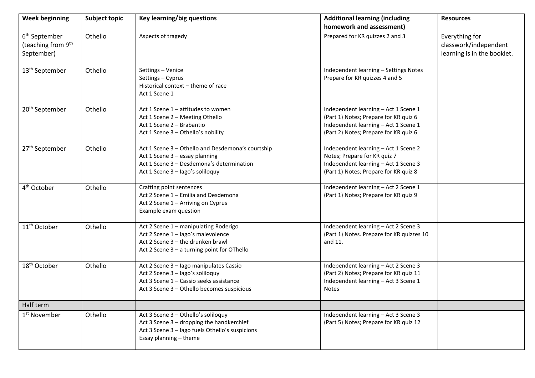| <b>Week beginning</b>                                                     | <b>Subject topic</b> | Key learning/big questions                                                                                                                                           | <b>Additional learning (including</b><br>homework and assessment)                                                                                              | <b>Resources</b>                                                       |
|---------------------------------------------------------------------------|----------------------|----------------------------------------------------------------------------------------------------------------------------------------------------------------------|----------------------------------------------------------------------------------------------------------------------------------------------------------------|------------------------------------------------------------------------|
| 6 <sup>th</sup> September<br>(teaching from 9 <sup>th</sup><br>September) | Othello              | Aspects of tragedy                                                                                                                                                   | Prepared for KR quizzes 2 and 3                                                                                                                                | Everything for<br>classwork/independent<br>learning is in the booklet. |
| 13 <sup>th</sup> September                                                | Othello              | Settings - Venice<br>Settings - Cyprus<br>Historical context - theme of race<br>Act 1 Scene 1                                                                        | Independent learning - Settings Notes<br>Prepare for KR quizzes 4 and 5                                                                                        |                                                                        |
| 20 <sup>th</sup> September                                                | Othello              | Act 1 Scene 1 - attitudes to women<br>Act 1 Scene 2 - Meeting Othello<br>Act 1 Scene 2 - Brabantio<br>Act 1 Scene 3 - Othello's nobility                             | Independent learning - Act 1 Scene 1<br>(Part 1) Notes; Prepare for KR quiz 6<br>Independent learning - Act 1 Scene 1<br>(Part 2) Notes; Prepare for KR quiz 6 |                                                                        |
| 27 <sup>th</sup> September                                                | Othello              | Act 1 Scene 3 - Othello and Desdemona's courtship<br>Act 1 Scene 3 - essay planning<br>Act 1 Scene 3 - Desdemona's determination<br>Act 1 Scene 3 - lago's soliloquy | Independent learning - Act 1 Scene 2<br>Notes; Prepare for KR quiz 7<br>Independent learning - Act 1 Scene 3<br>(Part 1) Notes; Prepare for KR quiz 8          |                                                                        |
| 4 <sup>th</sup> October                                                   | Othello              | Crafting point sentences<br>Act 2 Scene 1 - Emilia and Desdemona<br>Act 2 Scene 1 - Arriving on Cyprus<br>Example exam question                                      | Independent learning - Act 2 Scene 1<br>(Part 1) Notes; Prepare for KR quiz 9                                                                                  |                                                                        |
| 11 <sup>th</sup> October                                                  | Othello              | Act 2 Scene 1 - manipulating Roderigo<br>Act 2 Scene 1 - lago's malevolence<br>Act 2 Scene 3 - the drunken brawl<br>Act 2 Scene 3 - a turning point for OThello      | Independent learning - Act 2 Scene 3<br>(Part 1) Notes. Prepare for KR quizzes 10<br>and 11.                                                                   |                                                                        |
| 18 <sup>th</sup> October                                                  | Othello              | Act 2 Scene 3 - lago manipulates Cassio<br>Act 2 Scene 3 - lago's soliloquy<br>Act 3 Scene 1 - Cassio seeks assistance<br>Act 3 Scene 3 - Othello becomes suspicious | Independent learning - Act 2 Scene 3<br>(Part 2) Notes; Prepare for KR quiz 11<br>Independent learning - Act 3 Scene 1<br><b>Notes</b>                         |                                                                        |
| Half term                                                                 |                      |                                                                                                                                                                      |                                                                                                                                                                |                                                                        |
| 1 <sup>st</sup> November                                                  | Othello              | Act 3 Scene 3 - Othello's soliloquy<br>Act 3 Scene 3 - dropping the handkerchief<br>Act 3 Scene 3 - lago fuels Othello's suspicions<br>Essay planning - theme        | Independent learning - Act 3 Scene 3<br>(Part 5) Notes; Prepare for KR quiz 12                                                                                 |                                                                        |